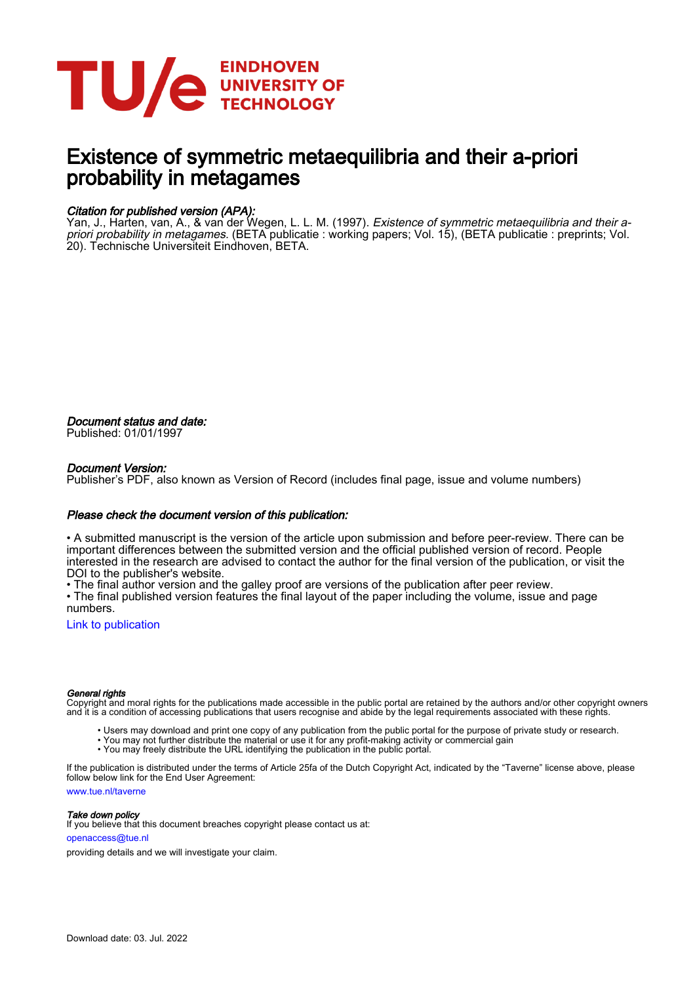

## Existence of symmetric metaequilibria and their a-priori probability in metagames

#### Citation for published version (APA):

Yan, J., Harten, van, A., & van der Wegen, L. L. M. (1997). *Existence of symmetric metaequilibria and their a*priori probability in metagames. (BETA publicatie : working papers; Vol. 15), (BETA publicatie : preprints; Vol. 20). Technische Universiteit Eindhoven, BETA.

Document status and date: Published: 01/01/1997

#### Document Version:

Publisher's PDF, also known as Version of Record (includes final page, issue and volume numbers)

#### Please check the document version of this publication:

• A submitted manuscript is the version of the article upon submission and before peer-review. There can be important differences between the submitted version and the official published version of record. People interested in the research are advised to contact the author for the final version of the publication, or visit the DOI to the publisher's website.

• The final author version and the galley proof are versions of the publication after peer review.

• The final published version features the final layout of the paper including the volume, issue and page numbers.

[Link to publication](https://research.tue.nl/en/publications/ec5a5527-966d-4b4b-b877-bfb2186adf5b)

#### General rights

Copyright and moral rights for the publications made accessible in the public portal are retained by the authors and/or other copyright owners and it is a condition of accessing publications that users recognise and abide by the legal requirements associated with these rights.

- Users may download and print one copy of any publication from the public portal for the purpose of private study or research.
- You may not further distribute the material or use it for any profit-making activity or commercial gain
- You may freely distribute the URL identifying the publication in the public portal.

If the publication is distributed under the terms of Article 25fa of the Dutch Copyright Act, indicated by the "Taverne" license above, please follow below link for the End User Agreement:

www.tue.nl/taverne

**Take down policy**<br>If you believe that this document breaches copyright please contact us at:

openaccess@tue.nl

providing details and we will investigate your claim.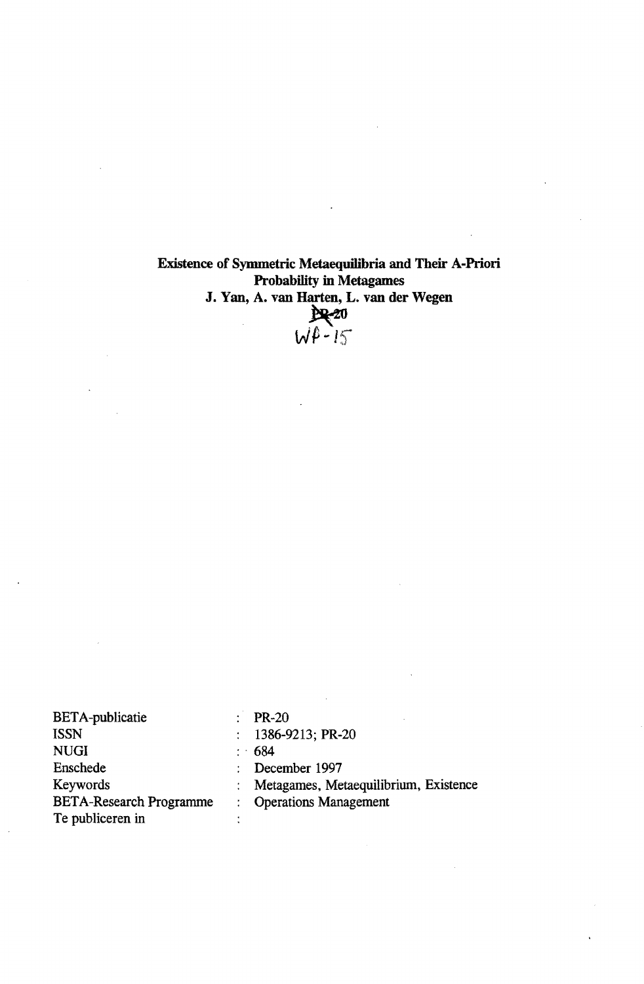# Existence of Symmetric Metaequilibria and Their A-Priori Probability in Metagames J. Yan, A. van Harten, L. van der Wegen<br>  $Q \rightarrow Q$ <br>  $Q \rightarrow Q$

| <b>BETA-publicatie</b>         | <b>PR-20</b>                          |
|--------------------------------|---------------------------------------|
| ISSN                           | 1386-9213; PR-20                      |
| <b>NUGI</b>                    | $\therefore$ 684                      |
| Enschede                       | December 1997                         |
| Keywords                       | Metagames, Metaequilibrium, Existence |
| <b>BETA-Research Programme</b> | <b>Operations Management</b>          |
| Te publiceren in               |                                       |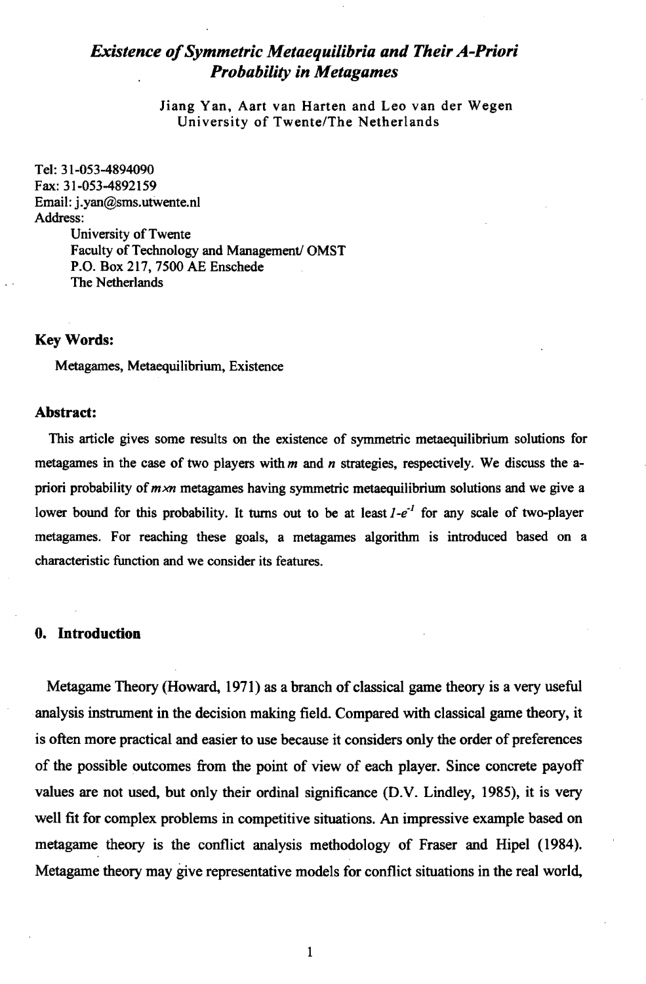### *Existence of Symmetric Metaequilibria and Their A-Priori Probability in Metagames*

Jiang Van, Aart van Harten and Leo van der Wegen University of Twente/The Netherlands

Tel: 31-053-4894090 Fax: 31-053-4892159 Email: j.yan@sms.utwente.nl Address: University of Twente Faculty of Technology and Management/ OMST P.O. Box 217, 7500 AE Enschede The Netherlands

#### KeyWords:

Metagames, Metaequilibrium, Existence

#### Abstract:

This article gives some results on the existence of symmetric metaequilibrium solutions for metagames in the case of two players with *m* and *n* strategies, respectively. We discuss the apriori probability of *mxn* metagames having symmetric metaequilibrium solutions and we give a lower bound for this probability. It turns out to be at least  $1-e^{-1}$  for any scale of two-player metagames. For reaching these goals, a metagames algorithm is introduced based on a characteristic function and we consider its features.

#### o. Introduction

Metagame Theory (Howard, 1971) as a branch of classical game theory is a very useful analysis instrwnent in the decision making field. Compared with classical game theory, it is often more practical and easier to use because it considers only the order of preferences of the possible outcomes from the point of view of each player. Since concrete payoff values are not used, but only their ordinal significance (D.V. Lindley, 1985), it is very well fit for complex problems in competitive situations. An impressive example based on metagame theory is the conflict analysis methodology of Fraser and Hipel (1984). Metagame theory may give representative models for conflict situations in the real world,

1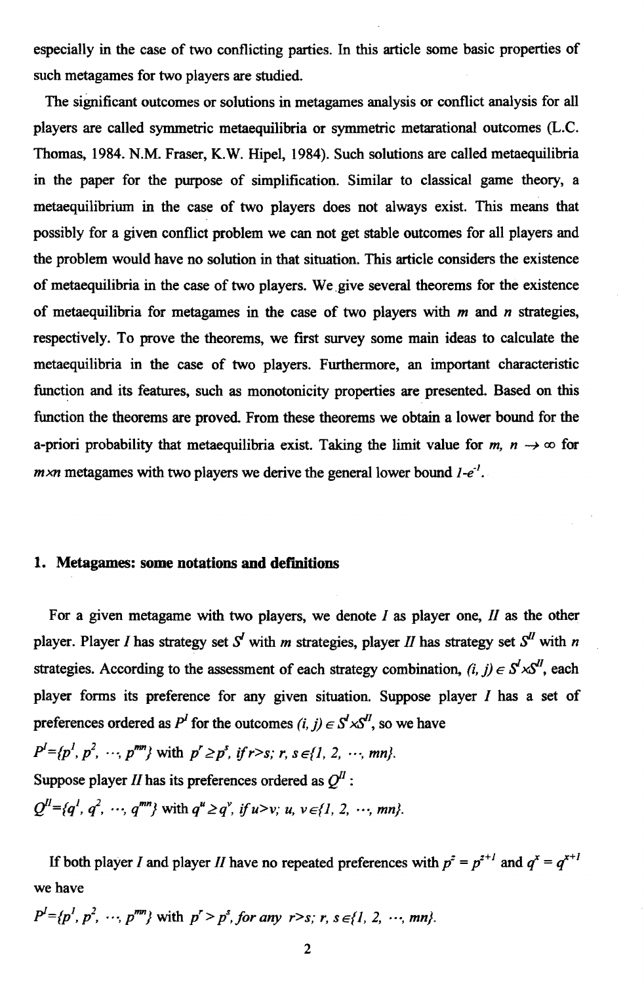especially in the case of two conflicting parties. In this article some basic properties of such metagames for two players are studied.

The sigmficant outcomes or solutions in metagames analysis or conflict analysis for all players are called symmetric metaequilibria or symmetric metarational outcomes (L.C. Thomas, 1984. N.M. Fraser, K.W. Hipel, 1984). Such solutions are called metaequilibria in the paper for the purpose of simplification. Similar to classical game theory, a metaequilibrium in the case of two players does not always exist. This means that possibly for a given conflict problem we can not get stable outcomes for all players and the problem would have no solution in that situation, This article considers the existence of metaequilibria in the case of two players. We give several theorems for the existence of metaequilibria for metagames in the case of two players with *m* and *n* strategies, respectively. To prove the theorems, we frrst survey some main ideas to calculate the metaequilibria in the case of two players. Furthermore, an important characteristic function and its features, such as monotonicity properties are presented. Based on this function the theorems are proved. From these theorems we obtain a lower bound for the a-priori probability that metaequilibria exist. Taking the limit value for  $m, n \rightarrow \infty$  for *m ×n* metagames with two players we derive the general lower bound *l*-e<sup>-1</sup>.

#### 1. Metagames: some notations and definitions

For a given metagame with two players, we denote *I* as player one, *II* as the other player. Player *I* has strategy set  $S<sup>I</sup>$  with *m* strategies, player *II* has strategy set  $S<sup>II</sup>$  with *n* strategies. According to the assessment of each strategy combination,  $(i, j) \in S^l \times S^l$ , each player forms its preference for any given situation. Suppose player I has a set of preferences ordered as  $P^I$  for the outcomes (i, j)  $\in S^I \times S^I$ , so we have

$$
P^I = \{p^1, p^2, \dots, p^{mn}\} \text{ with } p^r \ge p^s, \text{ if } r > s; r, s \in \{1, 2, \dots, mn\}.
$$
\nSuppose player II has its preferences ordered as  $Q^I$ :

\n
$$
Q^{II} = \{q^I, q^2, \dots, q^{mn}\} \text{ with } q^u \ge q^v, \text{ if } u > v; u, v \in \{1, 2, \dots, mn\}.
$$

If both player I and player II have no repeated preferences with  $p^2 = p^{2+1}$  and  $q^x = q^{x+1}$ we have

 $P^{l} = \{p^{l}, p^{2}, \cdots, p^{mn}\}\$  with  $p^{r} > p^{s}$ , for any  $r > s$ ; r, s  $\in \{1, 2, \cdots, mn\}$ .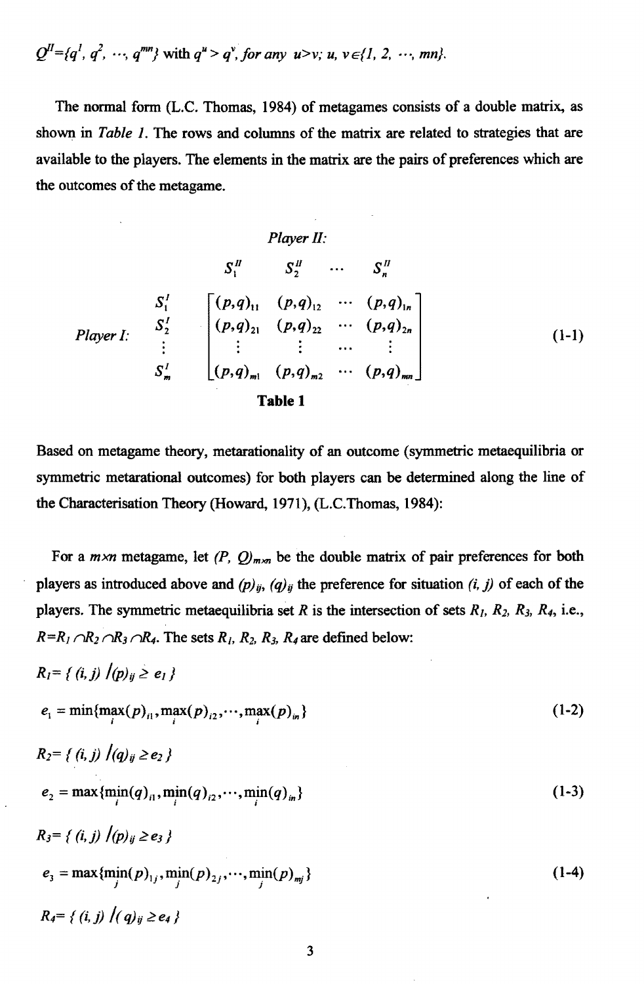$$
Q^{II} = \{q^1, q^2, \cdots, q^{mn}\} \text{ with } q^u > q^v, \text{ for any } u > v; u, v \in \{1, 2, \cdots, mn\}.
$$

The normal form (L.C. Thomas, 1984) of metagames consists of a double matrix, as shown in *Table* 1. The rows and columns of the matrix are related to strategies that are available to the players. The elements in the matrix are the pairs of preferences which are the outcomes of the metagame.

*Player II:*  
\n
$$
S_1^H
$$
  $S_2^H$   $\cdots$   $S_n^H$   
\n $S_1^I$   $\begin{bmatrix} (p,q)_{11} & (p,q)_{12} & \cdots & (p,q)_{1n} \\ (p,q)_{21} & (p,q)_{22} & \cdots & (p,q)_{2n} \\ \vdots & \vdots & \vdots & \cdots & \vdots \\ S_m^I & (p,q)_{m1} & (p,q)_{m2} & \cdots & (p,q)_{mn} \end{bmatrix}$   
\n**Table 1** (1-1)

Based on metagame theory, metarationality of an outcome (symmetric metaequilibria or symmetric metarational outcomes) for both players can be determined along the line of the Characterisation Theory (Howard. 1971), (L.C.Thomas, 1984):

For a  $m \times n$  metagame, let  $(P, Q)_{m \times n}$  be the double matrix of pair preferences for both players as introduced above and  $(p)_{ij}$ ,  $(q)_{ij}$  the preference for situation (*i*, *j*) of each of the players. The symmetric metaequilibria set R is the intersection of sets  $R_1$ ,  $R_2$ ,  $R_3$ ,  $R_4$ , i.e.,  $R=R_1 \cap R_2 \cap R_3 \cap R_4$ . The sets  $R_1$ ,  $R_2$ ,  $R_3$ ,  $R_4$  are defined below:

$$
R_{i} = \{ (i, j) | (p)_{ij} \ge e_{1} \}
$$
  
\n
$$
e_{i} = \min \{ \max(p)_{i1}, \max(p)_{i2}, \cdots, \max(p)_{in} \}
$$
  
\n
$$
R_{2} = \{ (i, j) | (q)_{ij} \ge e_{2} \}
$$
  
\n
$$
e_{2} = \max \{ \min_{i} (q)_{i1}, \min_{i} (q)_{i2}, \cdots, \min_{i} (q)_{in} \}
$$
  
\n
$$
R_{3} = \{ (i, j) | (p)_{ij} \ge e_{3} \}
$$
  
\n
$$
e_{3} = \max \{ \min_{j} (p)_{1j}, \min_{j} (p)_{2j}, \cdots, \min_{j} (p)_{mj} \}
$$
  
\n
$$
R_{4} = \{ (i, j) | (q)_{ij} \ge e_{4} \}
$$
\n(1-4)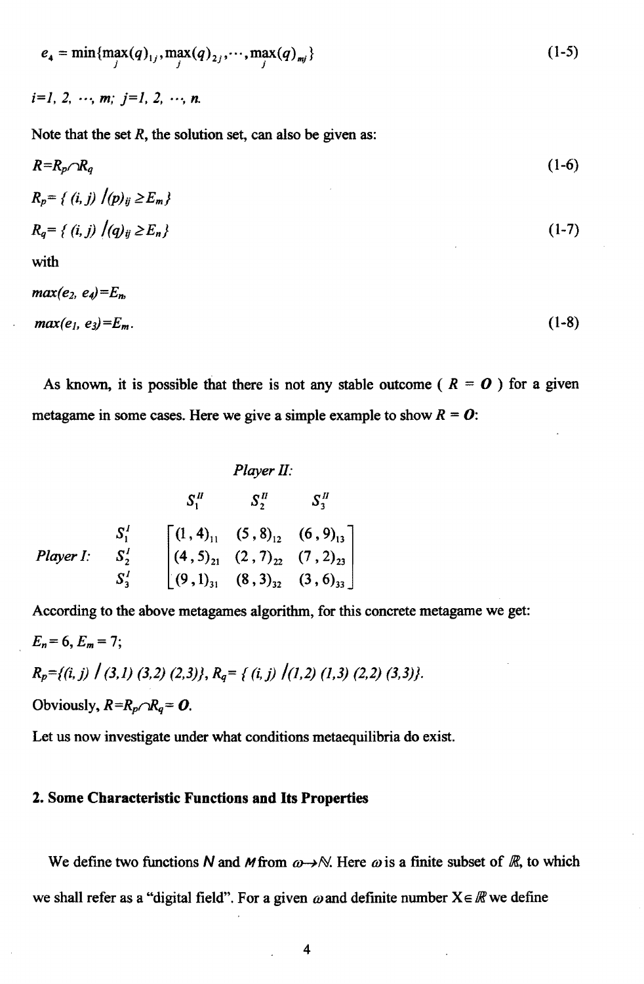$$
e_4 = \min_{j} \{ \max_{j} (q)_{1j}, \max_{j} (q)_{2j}, \cdots, \max_{j} (q)_{mj} \}
$$
 (1-5)

 $i=1, 2, \cdots, m; i=1, 2, \cdots, n$ .

Note that the set  $R$ , the solution set, can also be given as:

$$
R = R_p \cap R_q
$$
  
\n
$$
R_p = \{ (i, j) / (p)_{ij} \ge E_m \}
$$
\n
$$
(1-6)
$$

$$
R_q = \{ (i, j) / (q)_{ij} \ge E_n \} \tag{1-7}
$$

with

$$
max(e_2, e_4) = E_n
$$
  

$$
max(e_1, e_3) = E_m.
$$
 (1-8)

As known, it is possible that there is not any stable outcome ( $R = 0$ ) for a given metagame in some cases. Here we give a simple example to show  $R = 0$ :

*Player II:*  
\n
$$
S_1^H
$$
  $S_2^H$   $S_3^H$   
\n*Player I:*  $S_2^I$   $\begin{bmatrix} (1, 4)_{11} & (5, 8)_{12} & (6, 9)_{13} \\ (4, 5)_{21} & (2, 7)_{22} & (7, 2)_{23} \\ (9, 1)_{31} & (8, 3)_{32} & (3, 6)_{33} \end{bmatrix}$ 

According to the above metagames algorithm, for this concrete metagame we get:  $E_n=6, E_m=7;$  $R_p = \{(i, j) \mid (3, 1) \in (3, 2) \in (2, 3)\}, R_q = \{(i, j) \mid (1, 2) \in (1, 3) \in (2, 2) \in (3, 3)\}.$ Obviously,  $R=R_p\cap R_q=0$ .

Let us now investigate under what conditions metaequilibria do exist.

#### 2. Some Characteristic Functions and Its Properties

We define two functions N and M from  $\omega \rightarrow \mathbb{N}$ . Here  $\omega$  is a finite subset of R, to which we shall refer as a "digital field". For a given  $\omega$  and definite number  $X \in \mathbb{R}$  we define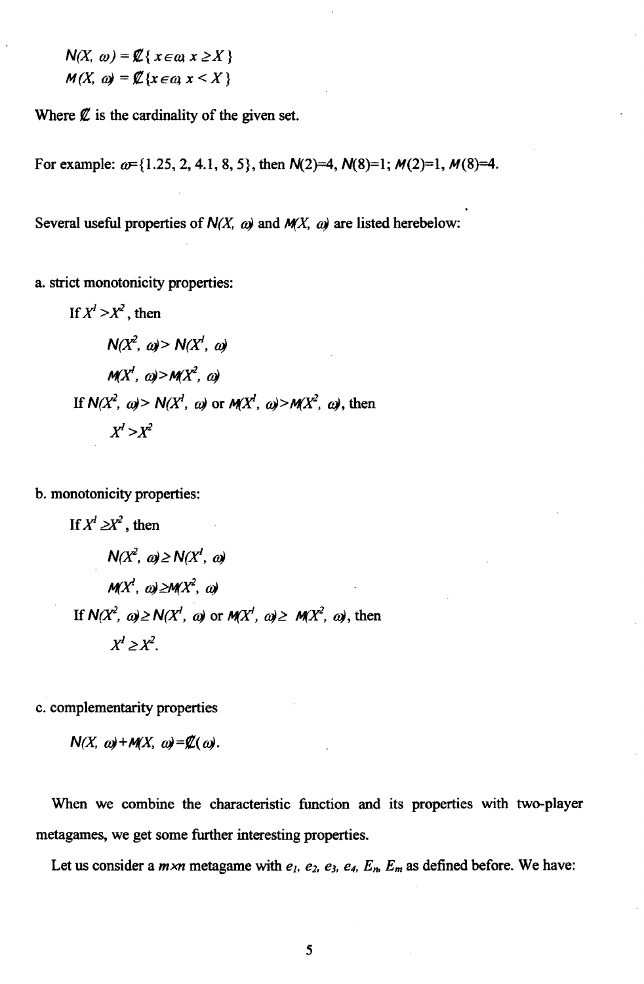$$
N(X, \omega) = \mathcal{L}\{x \in \omega, x \ge X\}
$$

$$
M(X, \omega) = \mathcal{L}\{x \in \omega, x \le X\}
$$

Where  $\emptyset$  is the cardinality of the given set.

For example:  $\omega$ ={1.25, 2, 4.1, 8, 5}, then  $N(2)=4$ ,  $N(8)=1$ ;  $M(2)=1$ ,  $M(8)=4$ .

Several useful properties of  $N(X, \omega)$  and  $M(X, \omega)$  are listed herebelow:

a. strict monotonicity properties:

If 
$$
X^1 > X^2
$$
, then  
\n $N(X^2, \omega) > N(X^1, \omega)$   
\n $M(X^1, \omega) > M(X^2, \omega)$   
\nIf  $N(X^2, \omega) > N(X^1, \omega)$  or  $M(X^1, \omega) > M(X^2, \omega)$ , then  
\n $X^1 > X^2$ 

b. monotonicity properties:

If 
$$
X^l \ge X^2
$$
, then  
\n $N(X^2, \omega) \ge N(X^l, \omega)$   
\n $M(X^l, \omega) \ge M(X^2, \omega)$   
\nIf  $N(X^2, \omega) \ge N(X^l, \omega)$  or  $M(X^l, \omega) \ge M(X^2, \omega)$ , then  
\n $X^l \ge X^2$ .

c. complementarity properties

$$
N(X, \omega) + M(X, \omega) = \mathcal{Z}(\omega).
$$

When we combine the characteristic function and its properties with two-player metagames, we get some further interesting properties.

Let us consider a  $m \times n$  metagame with  $e_1$ ,  $e_2$ ,  $e_3$ ,  $e_4$ ,  $E_m$ ,  $E_m$  as defined before. We have: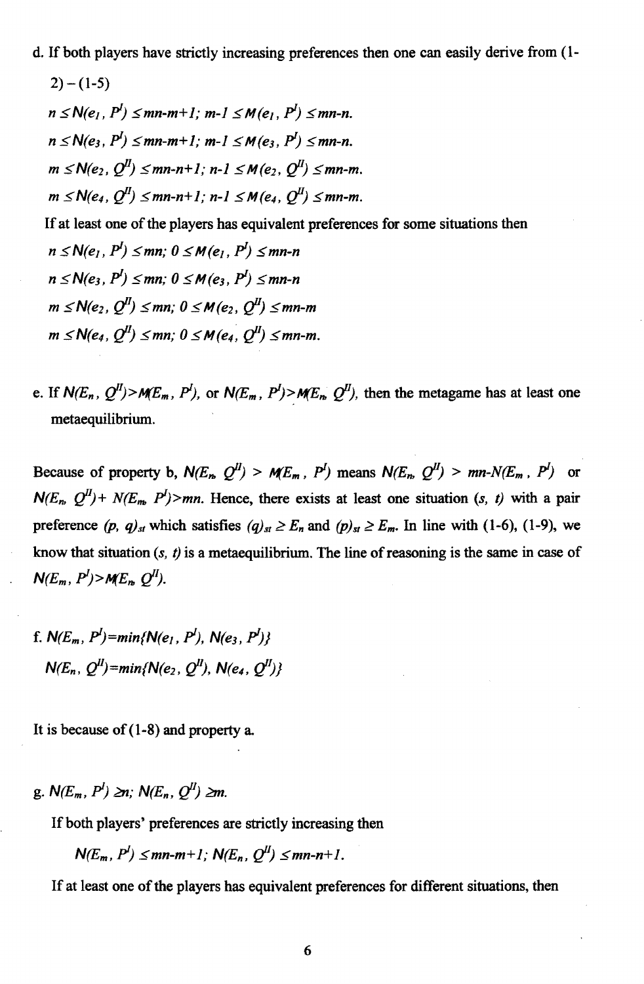d. If both players have strictly increasing preferences then one can easily derive from (1-

$$
2) - (1-5)
$$
\n
$$
n \le N(e_1, P^1) \le mn-m+1; m-1 \le M(e_1, P^1) \le mn-n.
$$
\n
$$
n \le N(e_3, P^1) \le mn-m+1; m-1 \le M(e_3, P^1) \le mn-n.
$$
\n
$$
m \le N(e_2, Q^1) \le mn-n+1; n-1 \le M(e_2, Q^1) \le mn-m.
$$
\n
$$
m \le N(e_4, Q^1) \le mn-n+1; n-1 \le M(e_4, Q^1) \le mn-m.
$$
\nIf at least one of the players has equivalent preferences for some situations then\n
$$
n \le N(e_1, P^1) \le mn; 0 \le M(e_1, P^1) \le mn-n
$$
\n
$$
n \le N(e_3, P^1) \le mn; 0 \le M(e_3, P^1) \le mn-n
$$
\n
$$
m \le N(e_2, Q^1) \le mn; 0 \le M(e_2, Q^1) \le mn-m
$$
\n
$$
m \le N(e_4, Q^1) \le mn; 0 \le M(e_4, Q^1) \le mn-m.
$$

e. If  $N(E_n, Q^U) > M(E_m, P^I)$ , or  $N(E_m, P^I) > M(E_n, Q^U)$ , then the metagame has at least one metaequilibrium.

Because of property b,  $N(E_n, Q^l) > M(E_m, P^l)$  means  $N(E_n, Q^l) > mn-N(E_m, P^l)$  or  $N(E_n, Q^H)$  +  $N(E_m, P^I)$  > mn. Hence, there exists at least one situation (s, t) with a pair preference (p,  $q)_{st}$  which satisfies  $(q)_{st} \ge E_n$  and  $(p)_{st} \ge E_m$ . In line with (1-6), (1-9), we know that situation *(s,* t) is a metaequilibrium. The line of reasoning is the same in case of  $N(E_m, P^l) > M(E_n, Q^l)$ .

f. 
$$
N(E_m, P^I) = min\{N(e_1, P^I), N(e_3, P^I)\}
$$
  
 $N(E_n, Q^II) = min\{N(e_2, Q^II), N(e_4, Q^II)\}$ 

It is because of  $(1-8)$  and property a.

g. 
$$
N(E_m, P^l) \geq n
$$
;  $N(E_n, Q^l) \geq m$ .

If both players' preferences are strictly increasing then

$$
N(E_m, P^l) \leq mn-m+1; N(E_n, Q^l) \leq mn-n+1.
$$

If at least one of the players has equivalent preferences for different situations, then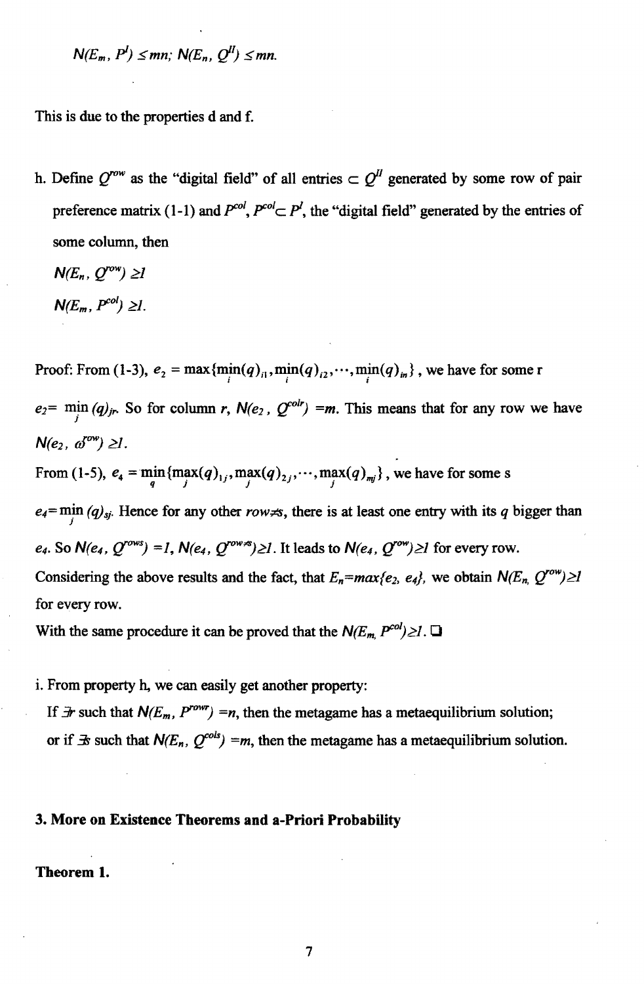$N(E_m, P^I) \leq mn$ ;  $N(E_n, Q^I) \leq mn$ .

This is due to the properties d and f.

h. Define  $Q^{row}$  as the "digital field" of all entries  $\subset Q^{II}$  generated by some row of pair preference matrix (1-1) and  $P^{col} \subset P^l$ , the "digital field" generated by the entries of some column, then

 $N(E_n, O^{row}) \geq 1$  $N(E_m, P^{col}) \geq l$ .

Proof: From (1-3),  $e_2 = \max{\{\min(q)_i, \min(q)_i\}}$ ,  $\cdots$ ,  $\min(q)_i$  , we have for some r  $e_2 = \min_j (q)_{j_r}$ . So for column *r*,  $N(e_2, Q^{i_0 l_r}) = m$ . This means that for any row we have  $N(e_2, \phi^{ow}) \geq 1$ .

From (1-5),  $e_4 = \min_{q} \{ \max_{j}(q)_{1j}, \max_{j}(q)_{2j}, \cdots, \max_{j}(q)_{mj} \}$ , we have for some s

 $e_4 = \min_j (q)_{sj}$ . Hence for any other *row*, there is at least one entry with its *q* bigger than  $e_4$ . So  $N(e_4, Q^{rows}) = 1$ ,  $N(e_4, Q^{rows}) \ge 1$ . It leads to  $N(e_4, Q^{row}) \ge 1$  for every row. Considering the above results and the fact, that  $E_n = max\{e_2, e_4\}$ , we obtain  $N(E_n, Q^{row}) \ge 1$ for every row.

With the same procedure it can be proved that the  $N(E_m, P^{col}) \geq 1$ .

i. From property h, we can easily get another property:

If  $\exists r$  such that  $N(E_m, P^{row}) = n$ , then the metagame has a metaequilibrium solution; or if  $\exists s$  such that  $N(E_n, Q^{cols}) = m$ , then the metagame has a metaequilibrium solution.

#### 3. More on Existence Theorems and a-Priori Probability

Theorem 1.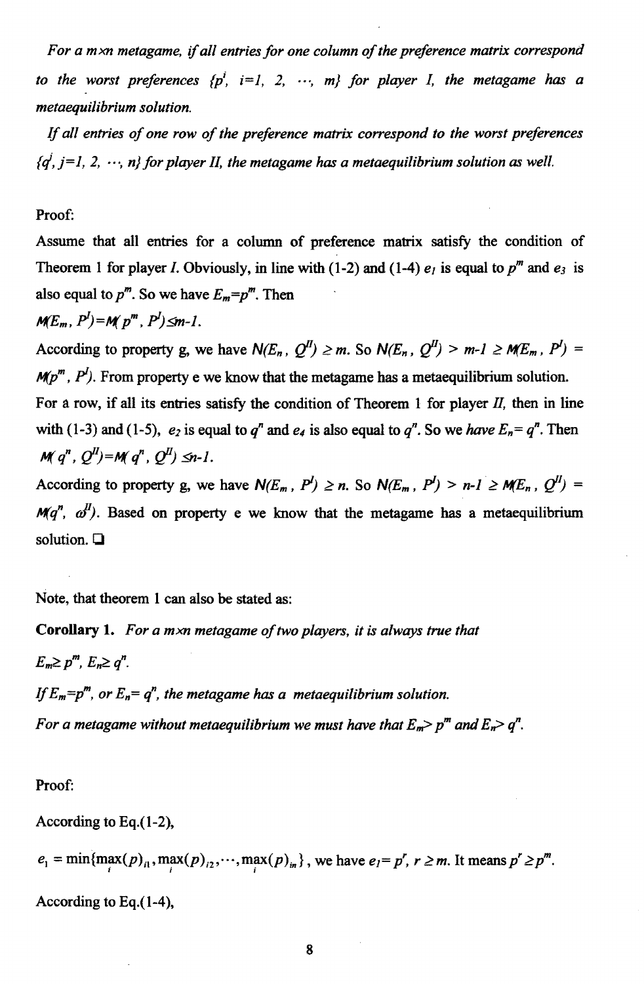*For a mxn metagame,* if *all entries for one column of the preference matrix correspond to the worst preferences*  $\{p^i, i=1, 2, \cdots, m\}$  for player I, the metagame has a *metaequilibrium solution.* 

If *all entries of one row of the preference matrix correspond to the worst preferences*   ${q^j, j=1, 2, \dots, n}$  for player II, the metagame has a metaequilibrium solution as well.

#### Proof:

Assume that all entries for a column of preference matrix satisfy the condition of Theorem 1 for player I. Obviously, in line with (1-2) and (1-4)  $e_1$  is equal to  $p^m$  and  $e_3$  is also equal to  $p^m$ . So we have  $E_m=p^m$ . Then

$$
M\!E_m, P^l) = M(p^m, P^l) \leq m-l.
$$

According to property g, we have  $N(E_n, Q^I) \ge m$ . So  $N(E_n, Q^I) > m-1 \ge M(E_m, P^I) =$  $M/p^m$ ,  $P^I$ ). From property e we know that the metagame has a metaequilibrium solution. For a row, if all its entries satisfy the condition of Theorem 1 for player  $II$ , then in line

with (1-3) and (1-5),  $e_2$  is equal to  $q^n$  and  $e_4$  is also equal to  $q^n$ . So we *have*  $E_n = q^n$ . Then  $M(q^n, Q^u) = M(q^n, Q^u) \leq n-1$ .

According to property g, we have  $N(E_m, P^I) \ge n$ . So  $N(E_m, P^I) > n-1 \ge M(E_n, Q^I) =$  $M(q^n, \alpha^I)$ . Based on property e we know that the metagame has a metaequilibrium solution.  $\Box$ 

Note. that theorem 1 can also be stated as:

**Corollary 1.** *For a mxn metagame of two players, it is always true that*   $E_m \geq p^m$ ,  $E_n \geq q^n$ . If  $E_m=p^m$ , or  $E_n=q^n$ , the metagame has a metaequilibrium solution. *For a metagame without metaequilibrium we must have that*  $E_m$ *> p<sup>m</sup> and*  $E_n$ *> q<sup>n</sup>.* 

Proof:

According to Eq.(1-2),

 $e_1 = \min\{\max(p)_{1}, \max(p)_{12}, \cdots, \max(p)_{in}\}\$ , we have  $e_1 = p^r, r \ge m$ . It means  $p^r \ge p^m$ .

According to Eq.(1-4),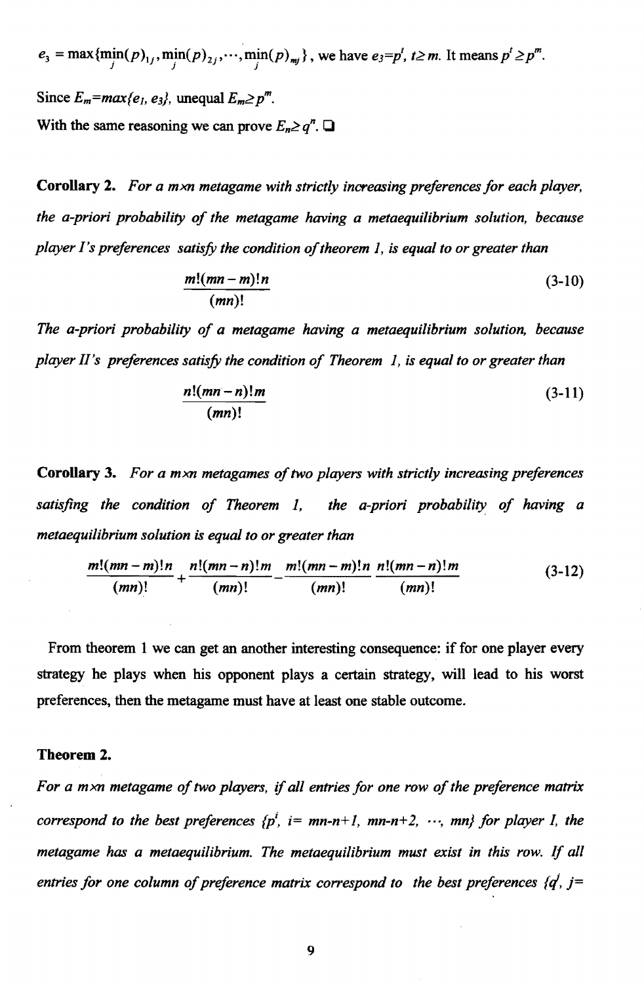$e_3 = \max{\{\min(p)_{1j}, \min(p)_{2j}, \cdots, \min(p)_{mj}\}}$ , we have  $e_3 = p^t, t \ge m$ . It means  $p^t \ge p^m$ . Since  $E_m = max\{e_1, e_3\}$ , unequal  $E_m \geq p^m$ . With the same reasoning we can prove  $E_n \geq q^n$ .

Corollary 2. *For a mxn metagame with strictly increasing preferences for each player, the a-priori probability of the metagame having a metaequilibrium solution, because player I's preferences satisfy the condition of theorem* 1, *is equal to or greater than* 

$$
\frac{m!(mn-m)!n}{(mn)!} \tag{3-10}
$$

The a-priori probability of a metagame having a metaequilibrium solution, because *player II's preferences satisfy the condition of Theorem* 1, *is equal to or greater than* 

$$
\frac{n!(mn-n)!m}{(mn)!} \tag{3-11}
$$

Corollary 3. *For a mxn metagames of two players with strictly increasing preferences*  satisfing the condition of Theorem 1, the a-priori probability of having a *metaequilibrium solution is equal to or greater than* 

$$
\frac{m!(mn-m)!n}{(mn)!} + \frac{n!(mn-n)!m}{(mn)!} - \frac{m!(mn-m)!n}{(mn)!} \frac{n!(mn-n)!m}{(mn)!} \tag{3-12}
$$

From theorem 1 we can get an another interesting consequence: if for one player every strategy he plays when his opponent plays a certain strategy, will lead to his worst preferences, then the metagame must have at least one stable outcome.

#### Theorem 2.

*For a mxn metagame of two players,* if *all entries for one row of the preference matrix correspond to the best preferences*  ${p^i$ ,  $i = mn-n+1$ ,  $mn-n+2$ ,  $\cdots$ ,  $mn$ } for player I, the *metagame has a metaequilibrium. The metaequilibrium must exist in this row.* If *all entries for one column of preference matrix correspond to the best preferences*  $\{q^i, j=$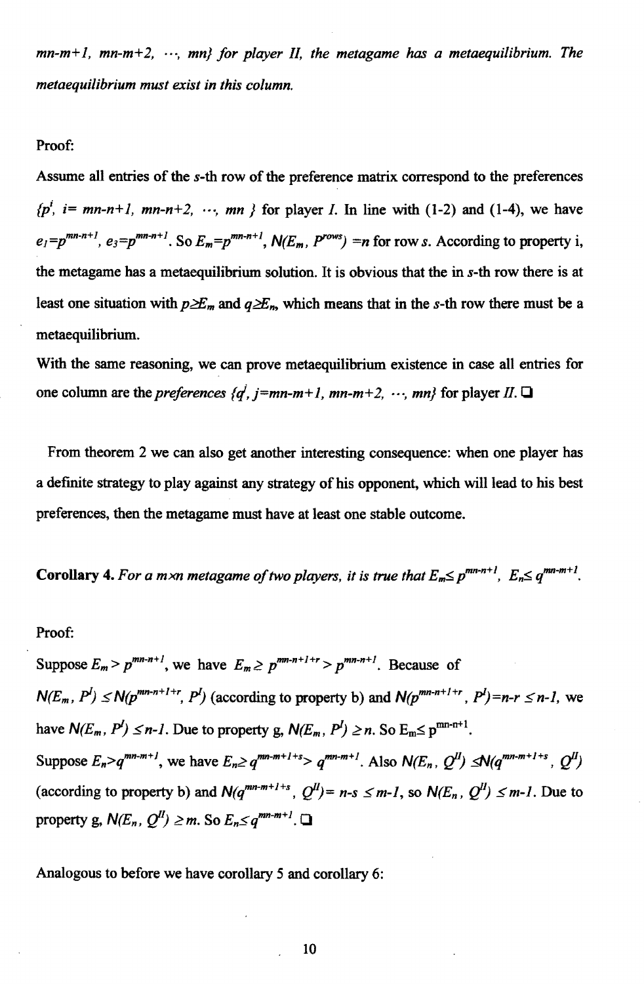$mn-m+1$ ,  $mn-m+2$ ,  $\cdots$ ,  $mn$ } for player II, the metagame has a metaequilibrium. The *metaequilibrium must exist in this column.* 

#### Proof:

Assume all entries of the *s-th* row of the preference matrix correspond to the preferences  ${p^i$ , *i*= mn-n+1, mn-n+2,  $\cdots$ , mn } for player *I*. In line with (1-2) and (1-4), we have  $e_i=p^{mn-n+1}$ ,  $e_3=p^{mn-n+1}$ . So  $E_m=p^{mn-n+1}$ ,  $N(E_m, P^{rows})=n$  for row *s*. According to property i, the metagame has a metaequilibrium solution. It is obvious that the in *s-th* row there is at least one situation with  $p \geq E_m$  and  $q \geq E_n$ , which means that in the *s*-th row there must be a metaequilibrium.

With the same reasoning, we can prove metaequilibrium existence in case all entries for one column are the *preferences {d', j=mn-m+1, mn-m+2, ..., mn}* for player *II*.  $\Box$ 

From theorem 2 we can also get another interesting consequence: when one player has a definite strategy to play against any strategy of his opponent, which will lead to his best preferences, then the metagame must have at least one stable outcome.

Corollary 4. For a m xn metagame of two players, it is true that  $E_m \leq p^{mn-n+1}$ ,  $E_n \leq q^{mn-m+1}$ .

#### Proof:

Suppose  $E_m > p^{mn-n+1}$ , we have  $E_m \ge p^{mn-n+1+r} > p^{mn-n+1}$ . Because of  $N(E_m, P^l) \le N(p^{mn-n+1+r}, P^l)$  (according to property b) and  $N(p^{mn-n+1+r}, P^l) = n-r \le n-l$ , we have  $N(E_m, P^l) \leq n-l$ . Due to property g,  $N(E_m, P^l) \geq n$ . So  $E_m \leq p^{mn-n+1}$ . Suppose  $E_n > q^{mn-m+1}$ , we have  $E_n \ge q^{mn-m+1+s} > q^{mn-m+1}$ . Also  $N(E_n, Q^H) \le N(q^{mn-m+1+s}, Q^H)$ (according to property b) and  $N(q^{mn-m+1+s}, Q^{II}) = n-s \leq m-1$ , so  $N(E_n, Q^{II}) \leq m-1$ . Due to property g,  $N(E_n, Q^I) \geq m$ . So  $E_n \leq q^{mn-m+1}$ .  $\Box$ 

Analogous to before we have corollary 5 and corollary 6: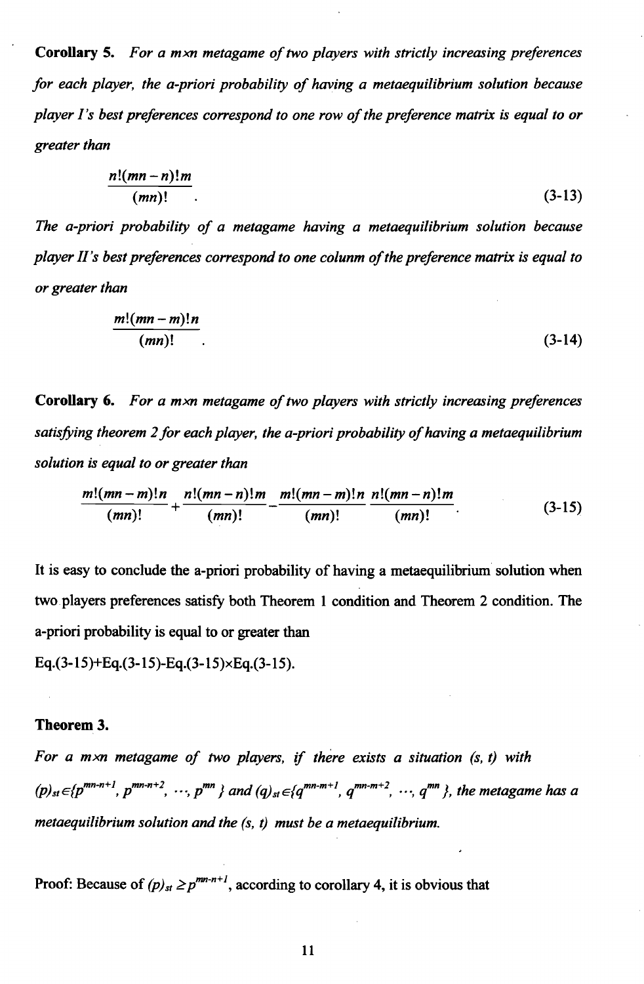Corollary 5. For a mxn metagame of two players with strictly increasing preferences *for each player, the a-priori probability of having a metaequilibrium solution because player /'s best preferences correspond to one row of the preference matrix is equal to or greater than* 

$$
\frac{n!(mn-n)!m}{(mn)!}.
$$
\n(3-13)

*The a-priori probability of a metagame having a metaequilibrium solution because player II's best preferences correspond to one colunm of the preference matrix is equal to or greater than* 

$$
\frac{m!(mn-m)!n}{(mn)!}.
$$
\n(3-14)

Corollary 6. For a mxn metagame of two players with strictly increasing preferences *satisfying theorem* 2 *for each player, the a-priori probability of having a metaequilibrium solution is equal to or greater than* 

$$
\frac{m!(mn-m)!n}{(mn)!} + \frac{n!(mn-n)!m}{(mn)!} - \frac{m!(mn-m)!n}{(mn)!} \frac{n!(mn-n)!m}{(mn)!}.
$$
 (3-15)

It is easy to conclude the a-priori probability of having a metaequilibrium solution when two. players preferences satisfy both Theorem 1 condition and Theorem 2 condition. The a-priori probability is equal to or greater than

Eq.(3-15)+Eq.(3-15)-Eq.(3-15)×Eq.(3-15).

#### Theorem 3.

*For a mxn metagame of two players,* if *there exists a situation (s, t) with*   $(p)_{st} \in \{p^{mn-n+1}, p^{mn-n+2}, \dots, p^{mn}\}$  and  $(q)_{st} \in \{q^{mn-m+1}, q^{mn-n+2}, \dots, q^{mn}\}$ , the metagame has a *metaequilibrium solution and the (s,* t) *must be a metaequilibrium.* 

Proof: Because of  $(p)_{st} \geq p^{mn-n+1}$ , according to corollary 4, it is obvious that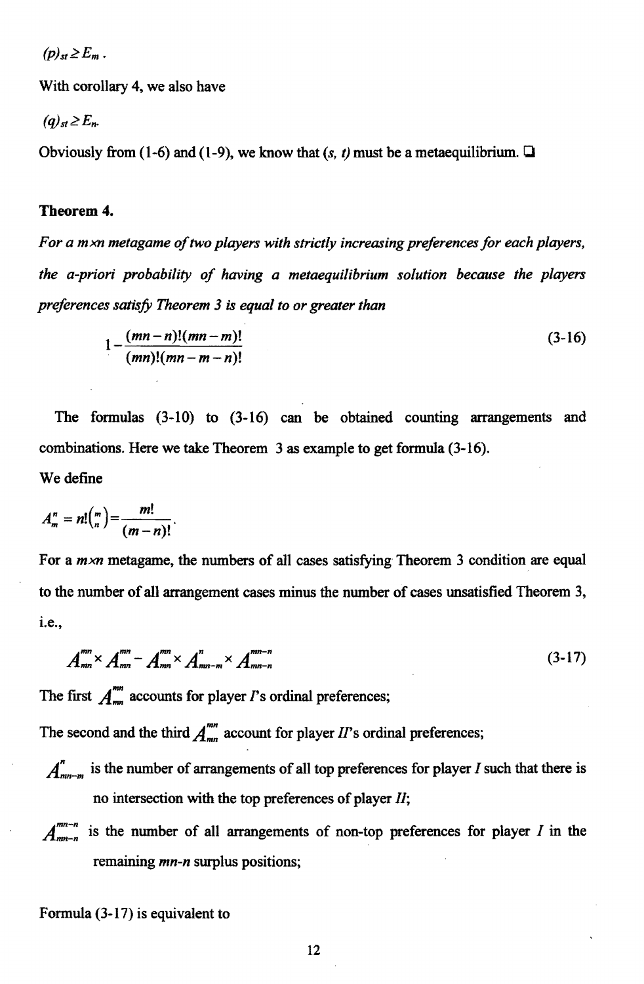$(p)_{st} \ge E_m$ .

With corollary 4, we also have

 $(q)_{st} \geq E_n$ 

Obviously from (1-6) and (1-9), we know that  $(s, t)$  must be a metaequilibrium.  $\Box$ 

#### Tbeorem 4.

For a mxn metagame of two players with strictly increasing preferences for each players, *the a-priori probability of having a metaequilibrium solution because the players preferences satisfy Theorem* 3 *is equal to or greater than* 

$$
1 - \frac{(mn-n)!(mn-m)!}{(mn)!(mn-m-n)!} \tag{3-16}
$$

The formulas (3-10) to (3-16) can be obtained counting arrangements and combinations. Here we take Theorem 3 as example to get formula (3-16). We define

$$
A_m^n = n! \binom{m}{n} = \frac{m!}{(m-n)!}.
$$

For a *m*<sub>xn</sub> metagame, the numbers of all cases satisfying Theorem 3 condition are equal to the number of all arrangement cases minus the number of cases unsatisfied Theorem 3, 1.e.,

$$
A_{mn}^{mn} \times A_{mn}^{mn} - A_{mn}^{mn} \times A_{mn-m}^{n} \times A_{mn-n}^{mn-n}
$$
 (3-17)

The first  $A_{mn}^{mn}$  accounts for player  $\Gamma$ s ordinal preferences;

The second and the third  $A_{mn}^{mn}$  account for player *II*'s ordinal preferences;

- $A''_{mn-m}$  is the number of arrangements of all top preferences for player I such that there is no intersection with the top preferences of player *II;*
- $A^{mn-n}_{m-n}$  is the number of all arrangements of non-top preferences for player I in the remaining *mn-n* surplus positions;

Formula (3-17) is equivalent to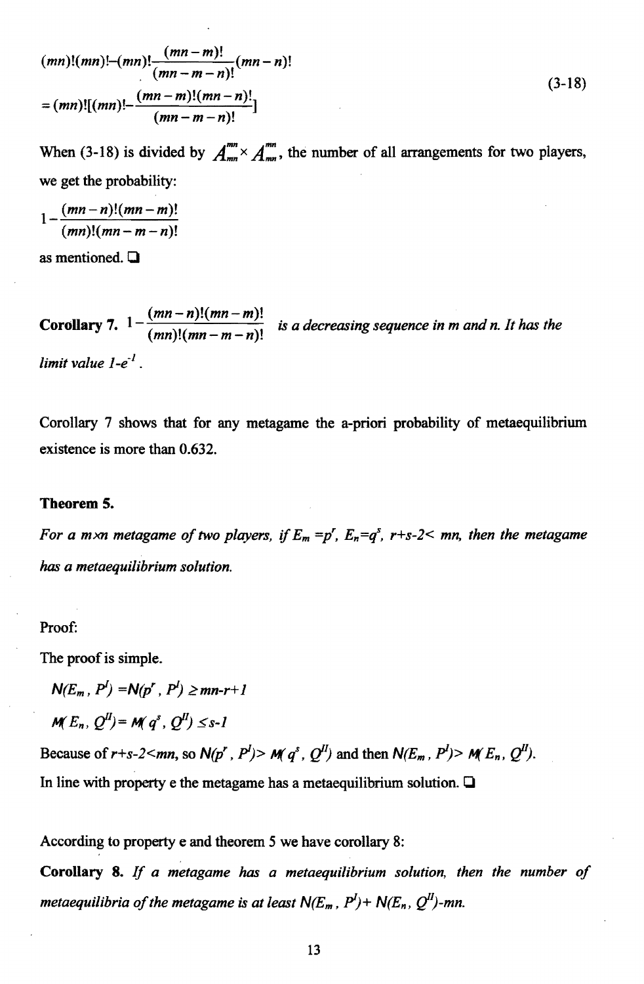$$
(mn)!(mn)!-(mn)!\frac{(mn-m)!}{(mn-m-n)!}(mn-n)!
$$
  
=
$$
(mn)![(mn)!-(mn-m)!(mn-n)!]
$$
  

$$
(3-18)
$$
  

$$
(mn-m-n)!
$$

When (3-18) is divided by  $A_{mn}^{mn} \times A_{mn}^{mn}$ , the number of all arrangements for two players, we get the probability:

$$
1 - \frac{(mn-n)!(mn-m)!}{(mn)!(mn-m-n)!}
$$

as mentioned.  $\Box$ 

**Corollary 7.**  $1 - \frac{(mn-n)!(mn-m)!}{(mn)!(mn-m-n)!}$  is a decreasing sequence in m and n. It has the *limit value 1\_e-*1 .

Corollary 7 shows that for any metagame the a-priori probability of metaequilibrium existence is more than 0.632.

#### Theorem S.

*For a m×n metagame of two players, if*  $E_m = p^r$ ,  $E_n = q^s$ ,  $r+s-2 < mn$ , then the metagame *has a metaequilibrium solution.* 

#### Proof:

The proof is simple.

 $N(E_m, P^l) = N(p^r, P^l) \ge mn-r+1$ 

 $M(E_n, O^{\textit{II}}) = M(q^s, O^{\textit{II}}) \leq s-1$ 

Because of  $r+s-2$ <*mn*, so  $N(p^r, P^l) > M(q^s, Q^l)$  and then  $N(E_m, P^l) > M(E_n, Q^l)$ . In line with property e the metagame has a metaequilibrium solution.  $\Box$ 

According to property e and theorem 5 we have corollary S:

Corollary 8. If *a metagame has a metaequilibrium solution, then the number of metaequilibria of the metagame is at least*  $N(E_m, P^I) + N(E_n, Q^I)$ -mn.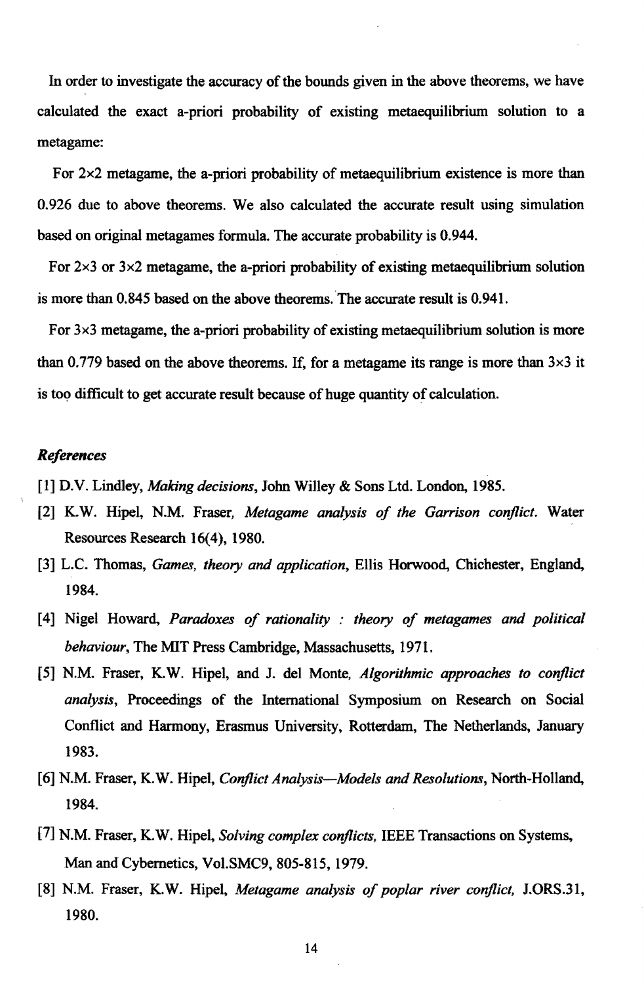In order to investigate the accuracy of the bounds given in the above theorems, we have calculated the exact a-priori probability of existing metaequilibrium solution to a metagame:

For *2x2* metagame, the a-priori probability of metaequilibrium existence is more than 0.926 due to above theorems. We also calculated the accurate result using simulation based on original metagames formula. The accurate probability is 0.944.

For  $2\times3$  or  $3\times2$  metagame, the a-priori probability of existing metaequilibrium solution is more than 0.845 based on the above theorems. The accurate result is 0.941.

For *3x3* metagame, the a-priori probability of existing metaequilibrium solution is more than 0.779 based on the above theorems. If, for a metagame its range is more than  $3\times3$  it is too difficult to get accurate result because of huge quantity of calculation.

#### *References*

- [1] D.V. Lindley, *Making decisions,* John Willey & Sons Ltd. London, 1985.
- [2] K. W. Hipel, N.M. Fraser, *Metagame analysis of the Garrison conflict.* Water Resources Research 16(4), 1980.
- [3] L.C. Thomas, *Games, theory and application,* Ellis Horwood, Chichester, England, 1984.
- [4] Nigel Howard, *Paradoxes of rationality: theory of metagames and political behaviour,* The MIT Press Cambridge, Massachusetts, 1971.
- [5J N.M. Fraser, K. W. Hipel, and J. del Monte, *Algorithmic approaches to conflict analysis*, Proceedings of the International Symposium on Research on Social Conflict and Harmony, Erasmus University. Rotterdam, The Netherlands, January 1983.
- [6] N.M. Fraser, K.W. Hipel, *Conflict Analysis-Models and Resolutions,* North-Holland, 1984.
- [7] N.M. Fraser, K. W. Hipel, *Solving complex conflicts,* IEEE Transactions on Systems. Man and Cybernetics. Vol.SMC9, 805-815, 1979.
- [8J N.M. Fraser, K.W. Hipel, *Metagame analysis of poplar river conflict,* J.ORS.31, 1980.